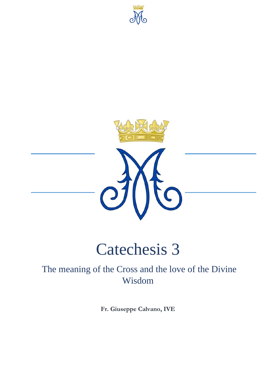





# Catechesis 3

# The meaning of the Cross and the love of the Divine Wisdom

**Fr. Giuseppe Calvano, IVE**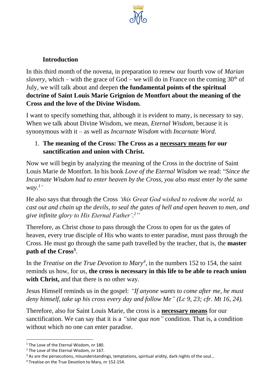

# **Introduction**

In this third month of the novena, in preparation to renew our fourth vow of *Marian slavery*, which – with the grace of God – we will do in France on the coming  $30<sup>th</sup>$  of July, we will talk about and deepen **the fundamental points of the spiritual doctrine of Saint Louis Marie Grignion de Montfort about the meaning of the Cross and the love of the Divine Wisdom.** 

I want to specify something that, although it is evident to many, is necessary to say. When we talk about Divine Wisdom, we mean, *Eternal Wisdom*, because it is synonymous with it – as well as *Incarnate Wisdom* with *Incarnate Word*.

#### 1. **The meaning of the Cross: The Cross as a necessary means for our sanctification and union with Christ.**

Now we will begin by analyzing the meaning of the Cross in the doctrine of Saint Louis Marie de Montfort. In his book *Love of the Eternal Wisdom* we read: "*Since the Incarnate Wisdom had to enter heaven by the Cross, you also must enter by the same way.*<sup>1</sup>

He also says that through the Cross *'this Great God wished to redeem the world, to cast out and chain up the devils, to seal the gates of hell and open heaven to men, and give infinite glory to His Eternal Father'. 2"*

Therefore, as Christ chose to pass through the Cross to open for us the gates of heaven, every true disciple of His who wants to enter paradise, must pass through the Cross. He must go through the same path travelled by the teacher, that is, the **master path of the Cross<sup>3</sup>** .

In the *Treatise on the True Devotion to Mary<sup>4</sup>*, in the numbers 152 to 154, the saint reminds us how, for us, **the cross is necessary in this life to be able to reach union with Christ,** and that there is no other way.

Jesus Himself reminds us in the gospel: *"If anyone wants to come after me, he must deny himself, take up his cross every day and follow Me" (Lc 9, 23; cfr. Mt 16, 24).*

Therefore, also for Saint Louis Marie, the cross is a **necessary means** for our sanctification. We can say that it is a *"sine qua non"* condition. That is, a condition without which no one can enter paradise.

<sup>&</sup>lt;sup>1</sup> The Love of the Eternal Wisdom, nr 180.

<sup>&</sup>lt;sup>2</sup> The Love of the Eternal Wisdom, nr 167.

<sup>&</sup>lt;sup>3</sup> As are the persecutions, misunderstandings, temptations, spiritual aridity, dark nights of the soul...

<sup>4</sup> Treatise on the True Devotion to Mary, nr 152-154.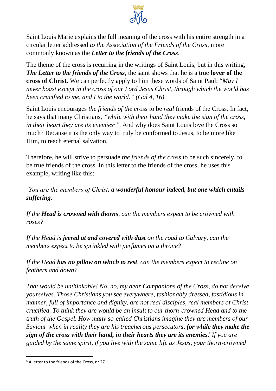

Saint Louis Marie explains the full meaning of the cross with his entire strength in a circular letter addressed *to the Association of the Friends of the Cross,* more commonly known as the *Letter to the friends of the Cross*.

The theme of the cross is recurring in the writings of Saint Louis, but in this writing, *The Letter to the friends of the Cross*, the saint shows that he is a true **lover of the cross of Christ**. We can perfectly apply to him these words of Saint Paul: "*May I never boast except in the cross of our Lord Jesus Christ, through which the world has been crucified to me, and I to the world." (Gal 4, 16)*

Saint Louis encourages *the friends of the cross* to be *real* friends of the Cross. In fact, he says that many Christians, *"while with their hand they make the sign of the cross, in their heart they are its enemies<sup>5</sup>"*. And why does Saint Louis love the Cross so much? Because it is the only way to truly be conformed to Jesus, to be more like Him, to reach eternal salvation.

Therefore, he will strive to persuade *the friends of the cross* to be such sincerely, to be true friends of the cross. In this letter to the friends of the cross, he uses this example, writing like this:

*'You are the members of Christ, a wonderful honour indeed, but one which entails suffering.* 

*If the Head is crowned with thorns, can the members expect to be crowned with roses?* 

*If the Head is jeered at and covered with dust on the road to Calvary, can the members expect to be sprinkled with perfumes on a throne?* 

*If the Head has no pillow on which to rest, can the members expect to recline on feathers and down?* 

*That would be unthinkable! No, no, my dear Companions of the Cross, do not deceive yourselves. Those Christians you see everywhere, fashionably dressed, fastidious in manner, full of importance and dignity, are not real disciples, real members of Christ crucified. To think they are would be an insult to our thorn-crowned Head and to the truth of the Gospel. How many so-called Christians imagine they are members of our Saviour when in reality they are his treacherous persecutors, for while they make the sign of the cross with their hand, in their hearts they are its enemies! If you are guided by the same spirit, if you live with the same life as Jesus, your thorn-crowned*

<sup>5</sup> A letter to the friends of the Cross, nr 27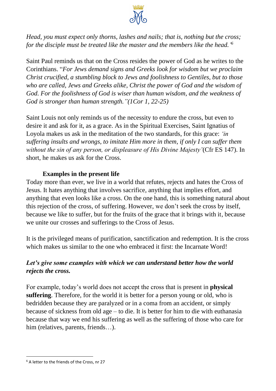

*Head, you must expect only thorns, lashes and nails; that is, nothing but the cross; for the disciple must be treated like the master and the members like the head.' 6*

Saint Paul reminds us that on the Cross resides the power of God as he writes to the Corinthians. "*For Jews demand signs and Greeks look for wisdom but we proclaim Christ crucified, a stumbling block to Jews and foolishness to Gentiles, but to those who are called, Jews and Greeks alike, Christ the power of God and the wisdom of God. For the foolishness of God is wiser than human wisdom, and the weakness of God is stronger than human strength."(1Cor 1, 22-25)*

Saint Louis not only reminds us of the necessity to endure the cross, but even to desire it and ask for it, as a grace. As in the Spiritual Exercises, Saint Ignatius of Loyola makes us ask in the meditation of the two standards, for this grace: *'in suffering insults and wrongs, to imitate Him more in them, if only I can suffer them without the sin of any person, or displeasure of His Divine Majesty'*(Cfr ES 147). In short, he makes us ask for the Cross.

#### **Examples in the present life**

Today more than ever, we live in a world that refutes, rejects and hates the Cross of Jesus. It hates anything that involves sacrifice, anything that implies effort, and anything that even looks like a cross. On the one hand, this is something natural about this rejection of the cross, of suffering. However, we don't seek the cross by itself, because we like to suffer, but for the fruits of the grace that it brings with it, because we unite our crosses and sufferings to the Cross of Jesus.

It is the privileged means of purification, sanctification and redemption. It is the cross which makes us similar to the one who embraced it first: the Incarnate Word!

# *Let's give some examples with which we can understand better how the world rejects the cross.*

For example, today's world does not accept the cross that is present in **physical suffering**. Therefore, for the world it is better for a person young or old, who is bedridden because they are paralyzed or in a coma from an accident, or simply because of sickness from old age – to die. It is better for him to die with euthanasia because that way we end his suffering as well as the suffering of those who care for him (relatives, parents, friends...).

<sup>6</sup> A letter to the friends of the Cross, nr 27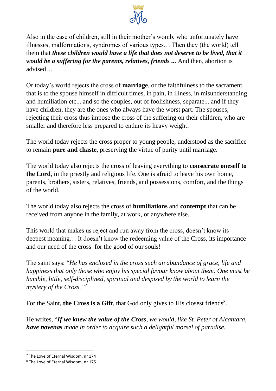

Also in the case of children, still in their mother's womb, who unfortunately have illnesses, malformations, syndromes of various types… Then they (the world) tell them that *these children would have a life that does not deserve to be lived, that it would be a suffering for the parents, relatives, friends ...* And then, abortion is advised…

Or today's world rejects the cross of **marriage**, or the faithfulness to the sacrament, that is to the spouse himself in difficult times, in pain, in illness, in misunderstanding and humiliation etc... and so the couples, out of foolishness, separate... and if they have children, they are the ones who always have the worst part. The spouses, rejecting their cross thus impose the cross of the suffering on their children, who are smaller and therefore less prepared to endure its heavy weight.

The world today rejects the cross proper to young people, understood as the sacrifice to remain **pure and chaste**, preserving the virtue of purity until marriage.

The world today also rejects the cross of leaving everything to **consecrate oneself to the Lord**, in the priestly and religious life. One is afraid to leave his own home, parents, brothers, sisters, relatives, friends, and possessions, comfort, and the things of the world.

The world today also rejects the cross of **humiliations** and **contempt** that can be received from anyone in the family, at work, or anywhere else.

This world that makes us reject and run away from the cross, doesn't know its deepest meaning… It doesn't know the redeeming value of the Cross, its importance and our need of the cross for the good of our souls!

The saint says: "*He has enclosed in the cross such an abundance of grace, life and happiness that only those who enjoy his special favour know about them. One must be humble, little, self-disciplined, spiritual and despised by the world to learn the mystery of the Cross." 7*

For the Saint, the Cross is a Gift, that God only gives to His closest friends<sup>8</sup>.

He writes, "*If we knew the value of the Cross, we would, like St. Peter of Alcantara, have novenas made in order to acquire such a delightful morsel of paradise.* 

<sup>&</sup>lt;sup>7</sup> The Love of Eternal Wisdom, nr 174

<sup>8</sup> The Love of Eternal Wisdom, nr 175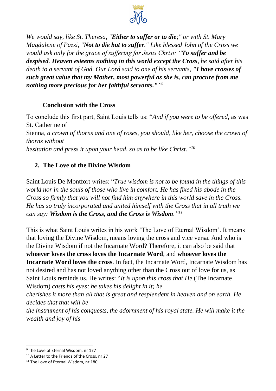

*We would say, like St. Theresa, "Either to suffer or to die;" or with St. Mary Magdalene of Pazzi, "Not to die but to suffer." Like blessed John of the Cross we would ask only for the grace of suffering for Jesus Christ: "To suffer and be despised. Heaven esteems nothing in this world except the Cross, he said after his death to a servant of God. Our Lord said to one of his servants, "I have crosses of such great value that my Mother, most powerful as she is, can procure from me nothing more precious for her faithful servants."" 9*

#### **Conclusion with the Cross**

To conclude this first part, Saint Louis tells us: "*And if you were to be offered,* as was St. Catherine of Sienna*, a crown of thorns and one of roses, you should, like her, choose the crown of thorns without hesitation and press it upon your head, so as to be like Christ." 10*

# **2. The Love of the Divine Wisdom**

Saint Louis De Montfort writes: "*True wisdom is not to be found in the things of this world nor in the souls of those who live in comfort. He has fixed his abode in the Cross so firmly that you will not find him anywhere in this world save in the Cross. He has so truly incorporated and united himself with the Cross that in all truth we can say: Wisdom is the Cross, and the Cross is Wisdom." 11*

This is what Saint Louis writes in his work 'The Love of Eternal Wisdom'. It means that loving the Divine Wisdom, means loving the cross and vice versa. And who is the Divine Wisdom if not the Incarnate Word? Therefore, it can also be said that **whoever loves the cross loves the Incarnate Word**, and **whoever loves the Incarnate Word loves the cross**. In fact, the Incarnate Word, Incarnate Wisdom has not desired and has not loved anything other than the Cross out of love for us, as Saint Louis reminds us. He writes: "*It is upon this cross that He* (The Incarnate Wisdom) *casts his eyes; he takes his delight in it; he*

*cherishes it more than all that is great and resplendent in heaven and on earth. He decides that that will be*

*the instrument of his conquests, the adornment of his royal state. He will make it the wealth and joy of his*

<sup>&</sup>lt;sup>9</sup> The Love of Eternal Wisdom, nr 177

<sup>&</sup>lt;sup>10</sup> A Letter to the Friends of the Cross, nr 27

<sup>&</sup>lt;sup>11</sup> The Love of Eternal Wisdom, nr 180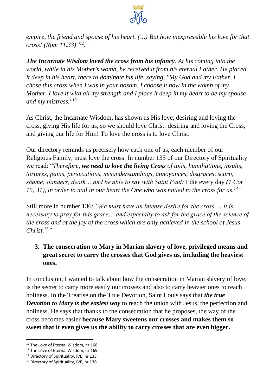

*empire, the friend and spouse of his heart. (…) But how inexpressible his love for that cross! (Rom 11.33)" 12 .*

*The Incarnate Wisdom loved the cross from his infancy. At his coming into the world, while in his Mother's womb, he received it from his eternal Father. He placed it deep in his heart, there to dominate his life, saying, "My God and my Father, I chose this cross when I was in your bosom. I choose it now in the womb of my Mother. I love it with all my strength and I place it deep in my heart to be my spouse and my mistress."<sup>13</sup>*

As Christ, the Incarnate Wisdom, has shown us His love, desiring and loving the cross, giving His life for us, so we should love Christ: desiring and loving the Cross, and giving our life for Him! To love the cross is to love Christ.

Our directory reminds us precisely how each one of us, each member of our Religious Family, must love the cross. In number 135 of our Directory of Spirituality we read: "*Therefore, we need to love the living Cross of toils, humiliations, insults, tortures, pains, persecutions, misunderstandings, annoyances, disgraces, scorn, shame, slanders, death… and be able to say with Saint Paul:* I die every day *(1 Cor 15, 31), in order to nail in our heart the One who was nailed to the cross for us.<sup>14</sup>"*

Still more in number 136: *"We must have an intense desire for the cross … It is necessary to pray for this grace... and especially to ask for the grace of the science of the cross and of the joy of the cross which are only achieved in the school of Jesus Christ.<sup>15</sup>"*

# **3. The consecration to Mary in Marian slavery of love, privileged means and great secret to carry the crosses that God gives us, including the heaviest ones.**

In conclusion, I wanted to talk about how the consecration in Marian slavery of love, is the secret to carry more easily our crosses and also to carry heavier ones to reach holiness. In the Treatise on the True Devotion, Saint Louis says that *the true Devotion to Mary is the easiest way* to reach the union with Jesus, the perfection and holiness. He says that thanks to the consecration that he proposes, the way of the cross becomes easier **because Mary sweetens our crosses and makes them so sweet that it even gives us the ability to carry crosses that are even bigger.**

<sup>&</sup>lt;sup>12</sup> The Love of Eternal Wisdom, nr 168

<sup>&</sup>lt;sup>13</sup> The Love of Eternal Wisdom, nr 169

<sup>&</sup>lt;sup>14</sup> Directory of Spirituality, IVE, nr 135

<sup>&</sup>lt;sup>15</sup> Directory of Spirituality, IVE, nr 136